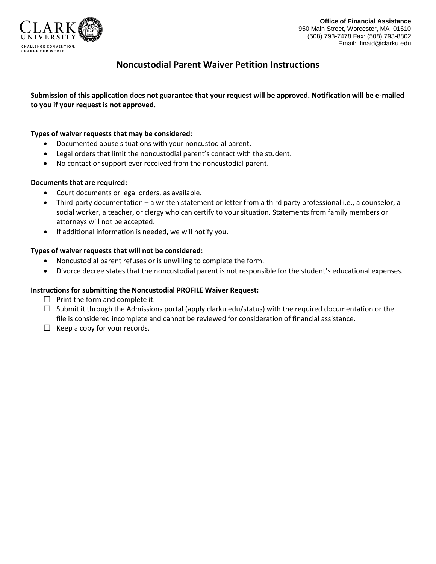

# **Noncustodial Parent Waiver Petition Instructions**

**Submission of this application does not guarantee that your request will be approved. Notification will be e-mailed to you if your request is not approved.**

### **Types of waiver requests that may be considered:**

- Documented abuse situations with your noncustodial parent.
- Legal orders that limit the noncustodial parent's contact with the student.
- No contact or support ever received from the noncustodial parent.

#### **Documents that are required:**

- Court documents or legal orders, as available.
- Third-party documentation a written statement or letter from a third party professional i.e., a counselor, a social worker, a teacher, or clergy who can certify to your situation. Statements from family members or attorneys will not be accepted.
- If additional information is needed, we will notify you.

#### **Types of waiver requests that will not be considered:**

- Noncustodial parent refuses or is unwilling to complete the form.
- Divorce decree states that the noncustodial parent is not responsible for the student's educational expenses.

#### **Instructions for submitting the Noncustodial PROFILE Waiver Request:**

- $\Box$  Print the form and complete it.
- $\Box$  Submit it through the Admissions portal (apply.clarku.edu/status) with the required documentation or the file is considered incomplete and cannot be reviewed for consideration of financial assistance.
- $\Box$  Keep a copy for your records.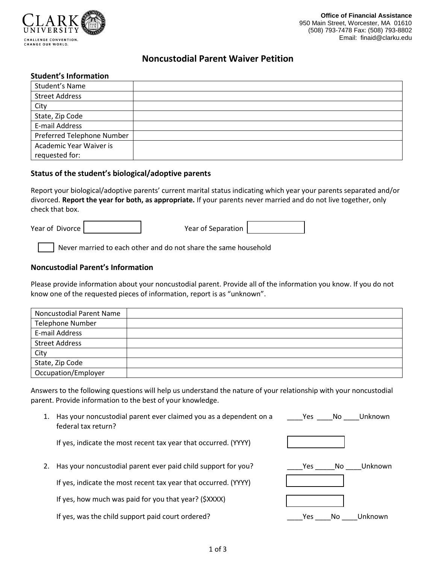

## **Noncustodial Parent Waiver Petition**

#### **Student's Information**

| Student's Name             |  |
|----------------------------|--|
| <b>Street Address</b>      |  |
| City                       |  |
| State, Zip Code            |  |
| E-mail Address             |  |
| Preferred Telephone Number |  |
| Academic Year Waiver is    |  |
| requested for:             |  |

#### **Status of the student's biological/adoptive parents**

Report your biological/adoptive parents' current marital status indicating which year your parents separated and/or divorced. **Report the year for both, as appropriate.** If your parents never married and do not live together, only check that box.

Year of Divorce **Year of Separation** 

Never married to each other and do not share the same household

#### **Noncustodial Parent's Information**

Please provide information about your noncustodial parent. Provide all of the information you know. If you do not know one of the requested pieces of information, report is as "unknown".

| <b>Noncustodial Parent Name</b> |  |
|---------------------------------|--|
| <b>Telephone Number</b>         |  |
| E-mail Address                  |  |
| <b>Street Address</b>           |  |
| City                            |  |
| State, Zip Code                 |  |
| Occupation/Employer             |  |

Answers to the following questions will help us understand the nature of your relationship with your noncustodial parent. Provide information to the best of your knowledge.

| 1. | Has your noncustodial parent ever claimed you as a dependent on a<br>federal tax return? | Unknown<br>No.<br><b>Yes</b> |
|----|------------------------------------------------------------------------------------------|------------------------------|
|    | If yes, indicate the most recent tax year that occurred. (YYYY)                          |                              |
|    | Has your noncustodial parent ever paid child support for you?                            | Unknown<br>No.<br>Yes.       |
|    | If yes, indicate the most recent tax year that occurred. (YYYY)                          |                              |
|    | If yes, how much was paid for you that year? (\$XXXX)                                    |                              |
|    | If yes, was the child support paid court ordered?                                        | Unknown<br>Yes<br>No         |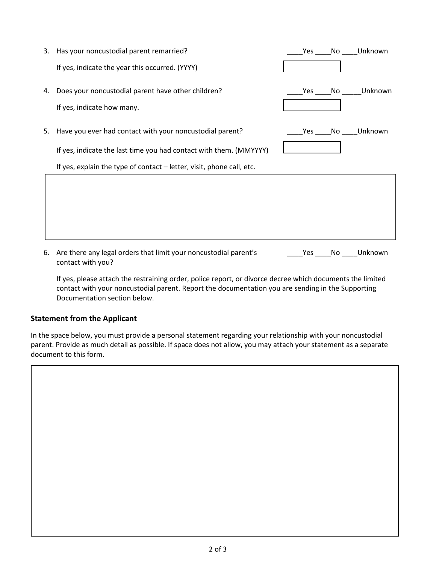3. Has your noncustodial parent remarried?

If yes, indicate the year this occurred. (YYYY)

- 4. Does your noncustodial parent have other children? If yes, indicate how many.
- 5. Have you ever had contact with your noncustodial parent?

If yes, indicate the last time you had contact with them. (MMYYYY)

If yes, explain the type of contact – letter, visit, phone call, etc.

|  | Yes No Unknown |
|--|----------------|
|  |                |
|  |                |
|  | Yes No Unknown |
|  |                |
|  |                |
|  | Yes No Unknown |
|  |                |
|  |                |

6. Are there any legal orders that limit your noncustodial parent's \_\_\_\_\_\_\_\_Yes \_\_\_\_No \_\_\_\_Unknown contact with you?

If yes, please attach the restraining order, police report, or divorce decree which documents the limited contact with your noncustodial parent. Report the documentation you are sending in the Supporting Documentation section below.

## **Statement from the Applicant**

In the space below, you must provide a personal statement regarding your relationship with your noncustodial parent. Provide as much detail as possible. If space does not allow, you may attach your statement as a separate document to this form.